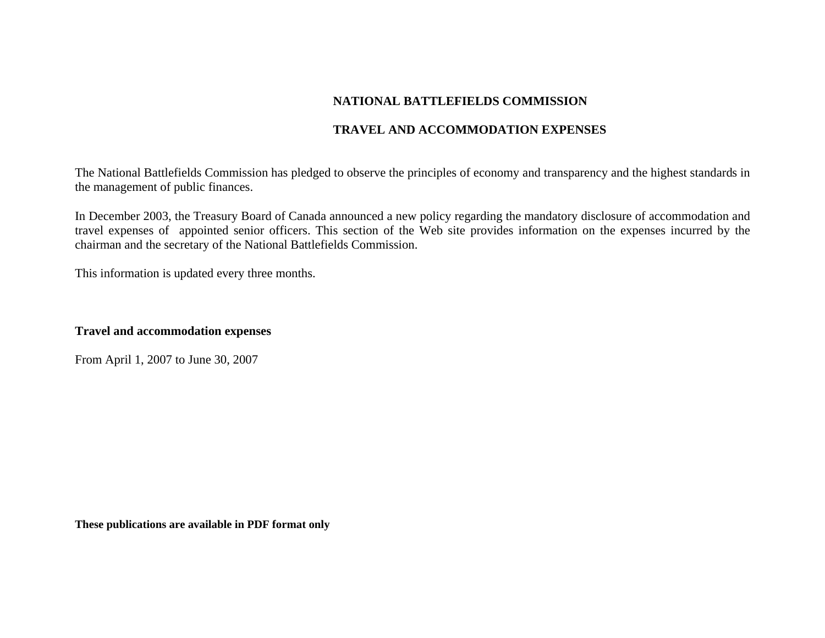# **NATIONAL BATTLEFIELDS COMMISSION**

## **TRAVEL AND ACCOMMODATION EXPENSES**

The National Battlefields Commission has pledged to observe the principles of economy and transparency and the highest standards in the management of public finances.

In December 2003, the Treasury Board of Canada announced a new policy regarding the mandatory disclosure of accommodation and travel expenses of appointed senior officers. This section of the Web site provides information on the expenses incurred by the chairman and the secretary of the National Battlefields Commission.

This information is updated every three months.

### **Travel and accommodation expenses**

From April 1, 2007 to June 30, 2007

**These publications are available in PDF format only**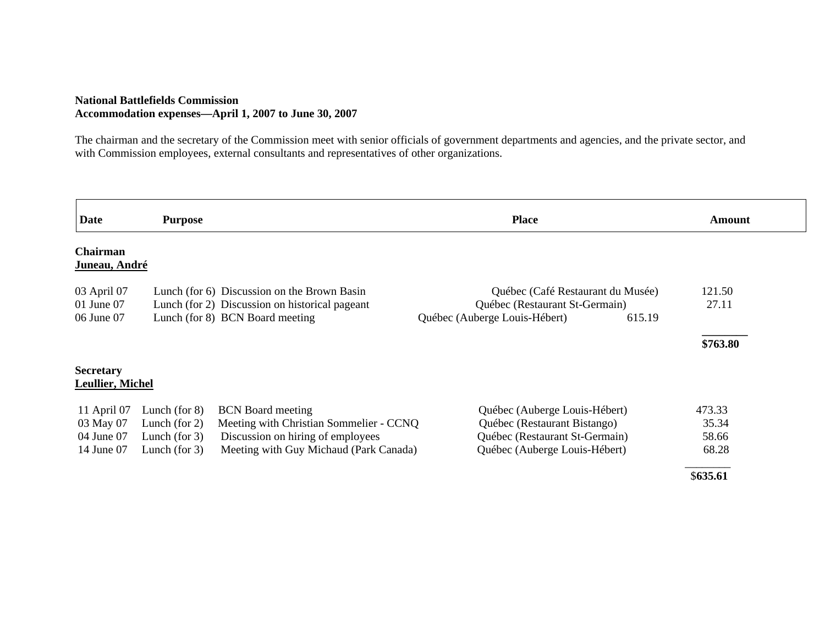### **National Battlefields Commission Accommodation expenses—April 1, 2007 to June 30, 2007**

The chairman and the secretary of the Commission meet with senior officials of government departments and agencies, and the private sector, and with Commission employees, external consultants and representatives of other organizations.

| <b>Date</b>               | <b>Purpose</b>   |                                                | <b>Place</b>                            | Amount   |
|---------------------------|------------------|------------------------------------------------|-----------------------------------------|----------|
| Chairman<br>Juneau, André |                  |                                                |                                         |          |
|                           |                  |                                                |                                         |          |
| 03 April 07               |                  | Lunch (for 6) Discussion on the Brown Basin    | Québec (Café Restaurant du Musée)       | 121.50   |
| $01$ June $07$            |                  | Lunch (for 2) Discussion on historical pageant | Québec (Restaurant St-Germain)          | 27.11    |
| 06 June 07                |                  | Lunch (for 8) BCN Board meeting                | Québec (Auberge Louis-Hébert)<br>615.19 |          |
|                           |                  |                                                |                                         | \$763.80 |
| <b>Secretary</b>          |                  |                                                |                                         |          |
| Leullier, Michel          |                  |                                                |                                         |          |
| 11 April 07               | Lunch (for $8$ ) | <b>BCN</b> Board meeting                       | Québec (Auberge Louis-Hébert)           | 473.33   |
| 03 May 07                 | Lunch (for $2$ ) | Meeting with Christian Sommelier - CCNQ        | Québec (Restaurant Bistango)            | 35.34    |
| 04 June 07                | Lunch (for $3$ ) | Discussion on hiring of employees              | Québec (Restaurant St-Germain)          | 58.66    |
| 14 June 07                | Lunch (for $3$ ) | Meeting with Guy Michaud (Park Canada)         | Québec (Auberge Louis-Hébert)           | 68.28    |
|                           |                  |                                                |                                         | \$635.61 |
|                           |                  |                                                |                                         |          |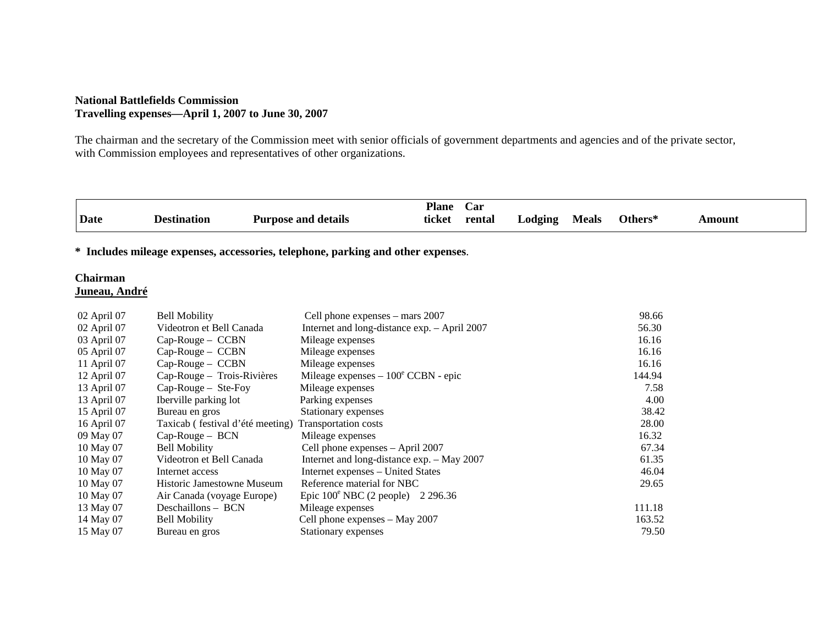### **National Battlefields Commission Travelling expenses—April 1, 2007 to June 30, 2007**

The chairman and the secretary of the Commission meet with senior officials of government departments and agencies and of the private sector, with Commission employees and representatives of other organizations.

|             |                    |                            | <b>Plane</b> | <b>Car</b>                     |         |              |         |       |
|-------------|--------------------|----------------------------|--------------|--------------------------------|---------|--------------|---------|-------|
| <b>Date</b> | <b>Destination</b> | <b>Purpose and details</b> | ticket       | rental<br>$\sim$ $\sim$ $\sim$ | _odging | <b>Meals</b> | Others* | `moum |

**\* Includes mileage expenses, accessories, telephone, parking and other expenses**.

#### **Chairman Juneau, André**

| 02 April 07 | <b>Bell Mobility</b>             | Cell phone expenses – mars 2007              | 98.66  |
|-------------|----------------------------------|----------------------------------------------|--------|
| 02 April 07 | Videotron et Bell Canada         | Internet and long-distance exp. - April 2007 | 56.30  |
| 03 April 07 | $Cap-Rouge - CCBN$               | Mileage expenses                             | 16.16  |
| 05 April 07 | $Cap-Rouge - CCBN$               | Mileage expenses                             | 16.16  |
| 11 April 07 | $Cap-Rouge - CCBN$               | Mileage expenses                             | 16.16  |
| 12 April 07 | Cap-Rouge - Trois-Rivières       | Mileage expenses $-100^{\circ}$ CCBN - epic  | 144.94 |
| 13 April 07 | $Cap-Rouge - Ste-Foy$            | Mileage expenses                             | 7.58   |
| 13 April 07 | Iberville parking lot            | Parking expenses                             | 4.00   |
| 15 April 07 | Bureau en gros                   | Stationary expenses                          | 38.42  |
| 16 April 07 | Taxicab (festival d'été meeting) | Transportation costs                         | 28.00  |
| 09 May 07   | $Cap-Rouge - BCN$                | Mileage expenses                             | 16.32  |
| 10 May 07   | <b>Bell Mobility</b>             | Cell phone expenses - April 2007             | 67.34  |
| 10 May 07   | Videotron et Bell Canada         | Internet and long-distance exp. - May 2007   | 61.35  |
| 10 May 07   | Internet access                  | Internet expenses – United States            | 46.04  |
| 10 May 07   | Historic Jamestowne Museum       | Reference material for NBC                   | 29.65  |
| 10 May 07   | Air Canada (voyage Europe)       | Epic $100^{\circ}$ NBC (2 people) 2 296.36   |        |
| 13 May 07   | Deschaillons - BCN               | Mileage expenses                             | 111.18 |
| 14 May 07   | <b>Bell Mobility</b>             | Cell phone expenses - May 2007               | 163.52 |
| 15 May 07   | Bureau en gros                   | Stationary expenses                          | 79.50  |